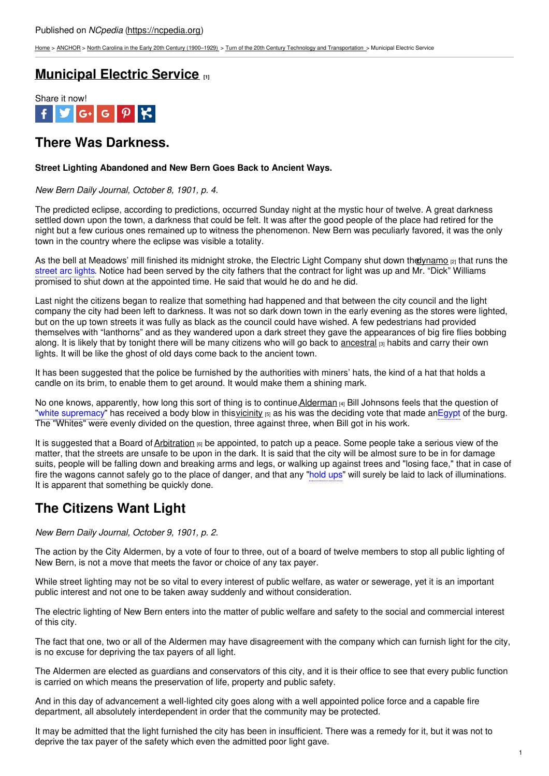[Home](https://ncpedia.org/) > [ANCHOR](https://ncpedia.org/anchor/anchor) > North Carolina in the Early 20th Century [\(1900–1929\)](https://ncpedia.org/anchor/north-carolina-early-20th) > Turn of the 20th Century Technology and [Transportation](https://ncpedia.org/anchor/turn-20th-century-technology) > Municipal Electric Service

# **[Municipal](https://ncpedia.org/anchor/municipal-electric-service) Electric Service [1]**



# **There Was Darkness.**

### **Street Lighting Abandoned and New Bern Goes Back to Ancient Ways.**

*New Bern Daily Journal, October 8, 1901, p. 4.*

The predicted eclipse, according to predictions, occurred Sunday night at the mystic hour of twelve. A great darkness settled down upon the town, a darkness that could be felt. It was after the good people of the place had retired for the night but a few curious ones remained up to witness the phenomenon. New Bern was peculiarly favored, it was the only town in the country where the eclipse was [visible](http://www.social9.com) a totality.

As the bell at Meadows' mill finished its midnight stroke, the Electric Light Company shut down the university runs the street arc lights. Notice had been served by the city fathers that the contract for light was up and Mr. "Dick" Williams promised to shut down at the appointed time. He said that would he do and he did.

Last night the citizens began to realize that something had happened and that between the city council and the light company the city had been left to darkness. It was not so dark down town in the early evening as the stores were lighted, but on the up town streets it was fully as black as the council could have wished. A few pedestrians had provided themselves with "lanthorns" and as they wandered upon a dark street they gave the appearances of big fire flies bobbing along. It is likely that by tonight there will be many citizens who will go back to [ancestral](https://ncpedia.org/glossary/ancestral) <sub>[3]</sub> habits and carry their own lights. It will be like the ghost of old days come back to the ancient town.

It has been suggested that the police be furnished by the authorities with miners' hats, the kind of a hat that holds a candle on its brim, to enable them to get around. It would make them a shining mark.

No one knows, apparently, how long this sort of thing is to continue. Alderman [4] Bill Johnsons feels that the question of "white supremacy" has received a body blow in this [vicinity](https://ncpedia.org/glossary/vicinity) [5] as his was the deciding vote that made anEgypt of the burg. The "Whites" were evenly divided on the question, three against three, when Bill got in his work.

It is suggested that a Board of [Arbitration](https://ncpedia.org/glossary/arbitration) [6] be appointed, to patch up a peace. Some people take a serious view of the matter, that the streets are unsafe to be upon in the dark. It is said that the city will be almost sure to be in for damage suits, people will be falling down and breaking arms and legs, or walking up against trees and "losing face," that in case of fire the wagons cannot safely go to the place of danger, and that any "hold ups" will surely be laid to lack of illuminations. It is apparent that something be quickly done.

# **The Citizens Want Light**

*New Bern Daily Journal, October 9, 1901, p. 2.*

The action by the City Aldermen, by a vote of four to three, out of a board of twelve members to stop all public lighting of New Bern, is not a move that meets the favor or choice of any tax payer.

While street lighting may not be so vital to every interest of public welfare, as water or sewerage, yet it is an important public interest and not one to be taken away suddenly and without consideration.

The electric lighting of New Bern enters into the matter of public welfare and safety to the social and commercial interest of this city.

The fact that one, two or all of the Aldermen may have disagreement with the company which can furnish light for the city, is no excuse for depriving the tax payers of all light.

The Aldermen are elected as guardians and conservators of this city, and it is their office to see that every public function is carried on which means the preservation of life, property and public safety.

And in this day of advancement a well-lighted city goes along with a well appointed police force and a capable fire department, all absolutely interdependent in order that the community may be protected.

It may be admitted that the light furnished the city has been in insufficient. There was a remedy for it, but it was not to deprive the tax payer of the safety which even the admitted poor light gave.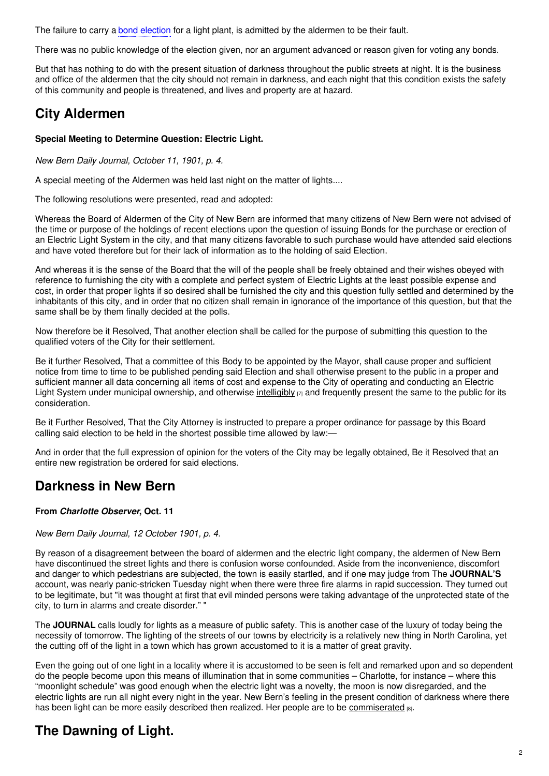The failure to carry a bond election for a light plant, is admitted by the aldermen to be their fault.

There was no public knowledge of the election given, nor an argument advanced or reason given for voting any bonds.

But that has nothing to do with the present situation of darkness throughout the public streets at night. It is the business and office of the aldermen that the city should not remain in darkness, and each night that this condition exists the safety of this community and people is threatened, and lives and property are at hazard.

# **City Aldermen**

## **Special Meeting to Determine Question: Electric Light.**

*New Bern Daily Journal, October 11, 1901, p. 4.*

A special meeting of the Aldermen was held last night on the matter of lights....

The following resolutions were presented, read and adopted:

Whereas the Board of Aldermen of the City of New Bern are informed that many citizens of New Bern were not advised of the time or purpose of the holdings of recent elections upon the question of issuing Bonds for the purchase or erection of an Electric Light System in the city, and that many citizens favorable to such purchase would have attended said elections and have voted therefore but for their lack of information as to the holding of said Election.

And whereas it is the sense of the Board that the will of the people shall be freely obtained and their wishes obeyed with reference to furnishing the city with a complete and perfect system of Electric Lights at the least possible expense and cost, in order that proper lights if so desired shall be furnished the city and this question fully settled and determined by the inhabitants of this city, and in order that no citizen shall remain in ignorance of the importance of this question, but that the same shall be by them finally decided at the polls.

Now therefore be it Resolved, That another election shall be called for the purpose of submitting this question to the qualified voters of the City for their settlement.

Be it further Resolved, That a committee of this Body to be appointed by the Mayor, shall cause proper and sufficient notice from time to time to be published pending said Election and shall otherwise present to the public in a proper and sufficient manner all data concerning all items of cost and expense to the City of operating and conducting an Electric Light System under municipal ownership, and otherwise [intelligibly](https://ncpedia.org/glossary/intelligibe)  $\eta$  and frequently present the same to the public for its consideration.

Be it Further Resolved, That the City Attorney is instructed to prepare a proper ordinance for passage by this Board calling said election to be held in the shortest possible time allowed by law:-

And in order that the full expression of opinion for the voters of the City may be legally obtained, Be it Resolved that an entire new registration be ordered for said elections.

## **Darkness in New Bern**

## **From** *Charlotte Observer***, Oct. 11**

## *New Bern Daily Journal, 12 October 1901, p. 4.*

By reason of a disagreement between the board of aldermen and the electric light company, the aldermen of New Bern have discontinued the street lights and there is confusion worse confounded. Aside from the inconvenience, discomfort and danger to which pedestrians are subjected, the town is easily startled, and if one may judge from The **JOURNAL'S** account, was nearly panic-stricken Tuesday night when there were three fire alarms in rapid succession. They turned out to be legitimate, but "it was thought at first that evil minded persons were taking advantage of the unprotected state of the city, to turn in alarms and create disorder." "

The **JOURNAL** calls loudly for lights as a measure of public safety. This is another case of the luxury of today being the necessity of tomorrow. The lighting of the streets of our towns by electricity is a relatively new thing in North Carolina, yet the cutting off of the light in a town which has grown accustomed to it is a matter of great gravity.

Even the going out of one light in a locality where it is accustomed to be seen is felt and remarked upon and so dependent do the people become upon this means of illumination that in some communities – Charlotte, for instance – where this "moonlight schedule" was good enough when the electric light was a novelty, the moon is now disregarded, and the electric lights are run all night every night in the year. New Bern's feeling in the present condition of darkness where there has been light can be more easily described then realized. Her people are to be [commiserated](https://ncpedia.org/glossary/commiserate) [8].

# **The Dawning of Light.**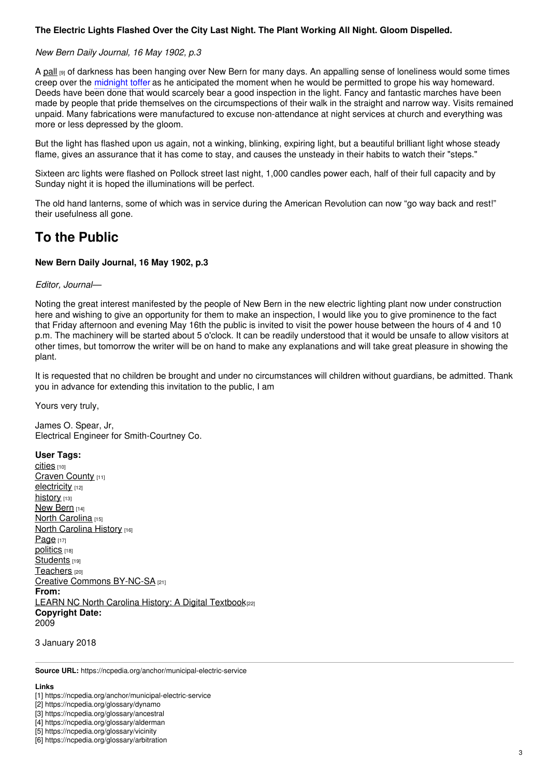## **The Electric Lights Flashed Over the City Last Night. The Plant Working All Night. Gloom Dispelled.**

### *New Bern Daily Journal, 16 May 1902, p.3*

A [pall](https://ncpedia.org/glossary/pall) [9] of darkness has been hanging over New Bern for many days. An appalling sense of loneliness would some times creep over the midnight toffer as he anticipated the moment when he would be permitted to grope his way homeward. Deeds have been done that would scarcely bear a good inspection in the light. Fancy and fantastic marches have been made by people that pride themselves on the circumspections of their walk in the straight and narrow way. Visits remained unpaid. Many fabrications were manufactured to excuse non-attendance at night services at church and everything was more or less depressed by the gloom.

But the light has flashed upon us again, not a winking, blinking, expiring light, but a beautiful brilliant light whose steady flame, gives an assurance that it has come to stay, and causes the unsteady in their habits to watch their "steps."

Sixteen arc lights were flashed on Pollock street last night, 1,000 candles power each, half of their full capacity and by Sunday night it is hoped the illuminations will be perfect.

The old hand lanterns, some of which was in service during the American Revolution can now "go way back and rest!" their usefulness all gone.

## **To the Public**

### **New Bern Daily Journal, 16 May 1902, p.3**

### *Editor, Journal—*

Noting the great interest manifested by the people of New Bern in the new electric lighting plant now under construction here and wishing to give an opportunity for them to make an inspection, I would like you to give prominence to the fact that Friday afternoon and evening May 16th the public is invited to visit the power house between the hours of 4 and 10 p.m. The machinery will be started about 5 o'clock. It can be readily understood that it would be unsafe to allow visitors at other times, but tomorrow the writer will be on hand to make any explanations and will take great pleasure in showing the plant.

It is requested that no children be brought and under no circumstances will children without guardians, be admitted. Thank you in advance for extending this invitation to the public, I am

Yours very truly,

James O. Spear, Jr, Electrical Engineer for Smith-Courtney Co.

#### **User Tags:**

Cities [10] [Craven](https://ncpedia.org/category/user-tags/craven-county) County [11] [electricity](https://ncpedia.org/category/user-tags/electricity) [12] [history](https://ncpedia.org/category/user-tags/history) [13] New [Bern](https://ncpedia.org/category/user-tags/new-bern) [14] North [Carolina](https://ncpedia.org/category/user-tags/north-carolina-5) [15] **North [Carolina](https://ncpedia.org/category/user-tags/north-carolina-6) History [16]** [Page](https://ncpedia.org/category/user-tags/page) [17] [politics](https://ncpedia.org/category/user-tags/politics) [18] [Students](https://ncpedia.org/category/user-tags/students) [19] [Teachers](https://ncpedia.org/category/user-tags/teachers) [20] Creative Commons [BY-NC-SA](https://ncpedia.org/category/user-tags/creative-commons) [21] **From:** LEARN NC North Carolina History: A Digital [Textbook](https://ncpedia.org/category/entry-source/learn-nc)<sup>[22]</sup> **Copyright Date:** 2009

3 January 2018

**Source URL:** https://ncpedia.org/anchor/municipal-electric-service

#### **Links**

[2] https://ncpedia.org/glossary/dynamo

[3] https://ncpedia.org/glossary/ancestral

[4] https://ncpedia.org/glossary/alderman

[5] https://ncpedia.org/glossary/vicinity

<sup>[1]</sup> https://ncpedia.org/anchor/municipal-electric-service

<sup>[6]</sup> https://ncpedia.org/glossary/arbitration